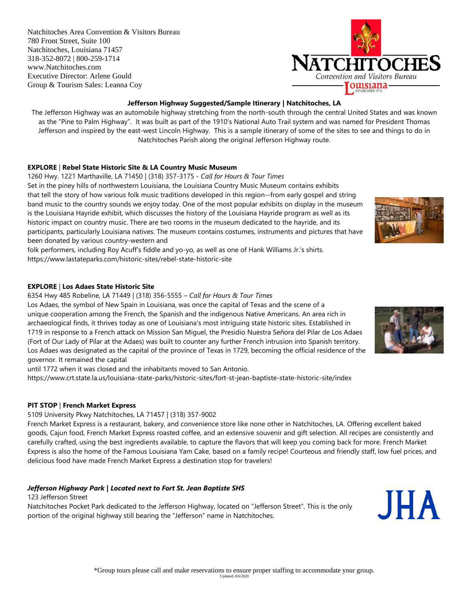Natchitoches Area Convention & Visitors Bureau 780 Front Street, Suite 100 Natchitoches, Louisiana 71457 318-352-8072 | 800-259-1714 www.Natchitoches.com Executive Director: Arlene Gould Group & Tourism Sales: Leanna Coy



## **Jefferson Highway Suggested/Sample Itinerary | Natchitoches, LA**

The Jefferson Highway was an automobile highway stretching from the north-south through the central United States and was known as the "Pine to Palm Highway". It was built as part of the 1910's National Auto Trail system and was named for President Thomas Jefferson and inspired by the east-west Lincoln Highway. This is a sample itinerary of some of the sites to see and things to do in Natchitoches Parish along the original Jefferson Highway route.

### **EXPLORE** | **Rebel State Historic Site & LA Country Music Museum**

1260 Hwy. 1221 Marthaville, LA 71450 | (318) 357-3175 - *Call for Hours & Tour Times* Set in the piney hills of northwestern Louisiana, the Louisiana Country Music Museum contains exhibits that tell the story of how various folk music traditions developed in this region--from early gospel and string band music to the country sounds we enjoy today. One of the most popular exhibits on display in the museum is the Louisiana Hayride exhibit, which discusses the history of the Louisiana Hayride program as well as its historic impact on country music. There are two rooms in the museum dedicated to the hayride, and its participants, particularly Louisiana natives. The museum contains costumes, instruments and pictures that have been donated by various country-western and

folk performers, including Roy Acuff's fiddle and yo-yo, as well as one of Hank Williams Jr.'s shirts. https://www.lastateparks.com/historic-sites/rebel-state-historic-site

### **EXPLORE** | **Los Adaes State Historic Site**

6354 Hwy 485 Robeline, LA 71449 | (318) 356-5555 – *Call for Hours & Tour Times*

Los Adaes, the symbol of New Spain in Louisiana, was once the capital of Texas and the scene of a unique cooperation among the French, the Spanish and the indigenous Native Americans. An area rich in archaeological finds, it thrives today as one of Louisiana's most intriguing state historic sites. Established in 1719 in response to a French attack on Mission San Miguel, the Presidio Nuestra Señora del Pilar de Los Adaes (Fort of Our Lady of Pilar at the Adaes) was built to counter any further French intrusion into Spanish territory. Los Adaes was designated as the capital of the province of Texas in 1729, becoming the official residence of the governor. It remained the capital

until 1772 when it was closed and the inhabitants moved to San Antonio.

https://www.crt.state.la.us/louisiana-state-parks/historic-sites/fort-st-jean-baptiste-state-historic-site/index

### **PIT STOP** | **French Market Express**

5109 University Pkwy Natchitoches, LA 71457 | (318) 357-9002

French Market Express is a restaurant, bakery, and convenience store like none other in Natchitoches, LA. Offering excellent baked goods, Cajun food, French Market Express roasted coffee, and an extensive souvenir and gift selection. All recipes are consistently and carefully crafted, using the best ingredients available, to capture the flavors that will keep you coming back for more. French Market Express is also the home of the Famous Louisiana Yam Cake, based on a family recipe! Courteous and friendly staff, low fuel prices, and delicious food have made French Market Express a destination stop for travelers!

# *Jefferson Highway Park | Located next to Fort St. Jean Baptiste SHS*

123 Jefferson Street

Natchitoches Pocket Park dedicated to the Jefferson Highway, located on "Jefferson Street". This is the only portion of the original highway still bearing the "Jefferson" name in Natchitoches.



JHA